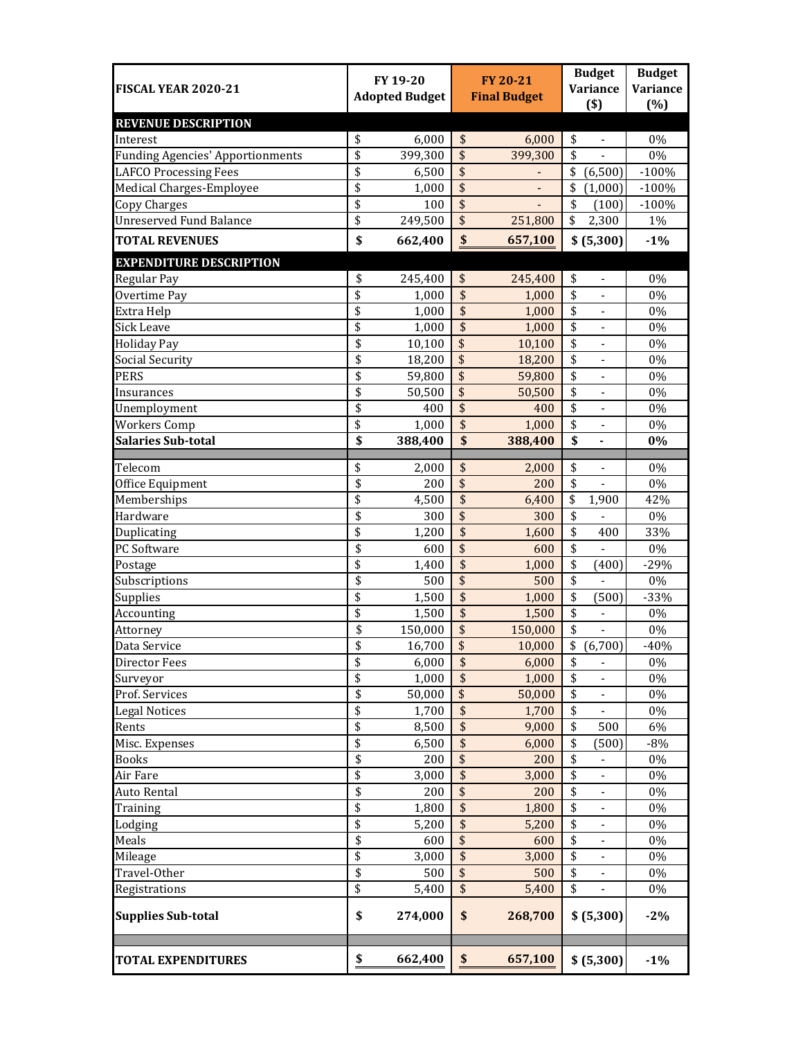| <b>FISCAL YEAR 2020-21</b>              |          | FY 19-20<br><b>Adopted Budget</b> |                         | <b>FY 20-21</b><br><b>Final Budget</b> | <b>Budget</b><br><b>Variance</b><br>$($ \$ |                              | <b>Budget</b><br><b>Variance</b><br>(%) |
|-----------------------------------------|----------|-----------------------------------|-------------------------|----------------------------------------|--------------------------------------------|------------------------------|-----------------------------------------|
| <b>REVENUE DESCRIPTION</b>              |          |                                   |                         |                                        |                                            |                              |                                         |
| Interest                                | \$       | 6,000                             | \$                      | 6,000                                  | \$                                         | $\overline{\phantom{a}}$     | 0%                                      |
| <b>Funding Agencies' Apportionments</b> | \$       | 399,300                           | \$                      | 399,300                                | \$                                         | $\overline{a}$               | $0\%$                                   |
| <b>LAFCO Processing Fees</b>            | \$       | 6,500                             | \$                      |                                        | \$                                         | (6,500)                      | $-100%$                                 |
| Medical Charges-Employee                | \$       | 1,000                             | $\overline{\$}$         |                                        | \$                                         | (1,000)                      | $-100%$                                 |
| <b>Copy Charges</b>                     | \$       | 100                               | $\overline{\mathbf{S}}$ |                                        | \$                                         | (100)                        | $-100%$                                 |
| <b>Unreserved Fund Balance</b>          | \$       | 249,500                           | $\overline{\$}$         | 251,800                                | \$                                         | 2,300                        | 1%                                      |
| <b>TOTAL REVENUES</b>                   | \$       | 662,400                           | $\boldsymbol{\$}$       | 657,100                                |                                            | \$ (5,300)                   | $-1%$                                   |
| <b>EXPENDITURE DESCRIPTION</b>          |          |                                   |                         |                                        |                                            |                              |                                         |
| Regular Pay                             | \$       | 245,400                           | \$                      | 245,400                                | \$                                         | $\qquad \qquad -$            | 0%                                      |
| Overtime Pay                            | \$       | 1,000                             | \$                      | 1,000                                  | \$                                         | $\qquad \qquad \blacksquare$ | 0%                                      |
| Extra Help                              | \$       | 1,000                             | \$                      | 1,000                                  | \$                                         | $\qquad \qquad \blacksquare$ | 0%                                      |
| <b>Sick Leave</b>                       | \$       | 1,000                             | \$                      | 1,000                                  | \$                                         | $\qquad \qquad \blacksquare$ | $0\%$                                   |
| <b>Holiday Pay</b>                      | \$       | 10,100                            | \$                      | 10,100                                 | \$                                         | $\overline{\phantom{a}}$     | $0\%$                                   |
| <b>Social Security</b>                  | \$       | 18,200                            | \$                      | 18,200                                 | \$                                         | $\overline{\phantom{a}}$     | $0\%$                                   |
| <b>PERS</b>                             | \$       | 59,800                            | \$                      | 59,800                                 | \$                                         | $\frac{1}{2}$                | $0\%$                                   |
| Insurances                              | \$       | 50,500                            | \$                      | 50,500                                 | \$                                         | $\overline{a}$               | $0\%$                                   |
| Unemployment                            | \$       | 400                               | \$                      | 400                                    | \$                                         | $\frac{1}{2}$                | $0\%$                                   |
| <b>Workers Comp</b>                     | \$       | 1,000                             | \$                      | 1,000                                  | \$                                         |                              | 0%                                      |
| <b>Salaries Sub-total</b>               | \$       | 388,400                           | \$                      | 388,400                                | \$                                         |                              | $0\%$                                   |
|                                         |          |                                   |                         |                                        |                                            |                              |                                         |
| Telecom                                 | \$       | 2,000                             | \$                      | 2,000                                  | \$                                         | $\overline{\phantom{a}}$     | 0%                                      |
| Office Equipment                        | \$       | 200                               | \$                      | 200                                    | \$                                         |                              | 0%                                      |
| Memberships                             | \$       | 4,500                             | \$                      | 6,400                                  | \$                                         | 1,900                        | 42%                                     |
| Hardware                                | \$       | 300                               | \$                      | 300                                    | \$                                         |                              | $0\%$                                   |
| Duplicating                             | \$       | 1,200                             | \$                      | 1,600                                  | \$                                         | 400                          | 33%                                     |
| PC Software                             | \$       | 600                               | \$                      | 600                                    | \$                                         | $\overline{a}$               | 0%                                      |
| Postage                                 | \$       | 1,400                             | \$                      | 1,000                                  | \$                                         | (400)                        | $-29%$                                  |
| Subscriptions                           | \$       | 500                               | \$                      | 500                                    | \$                                         |                              | 0%                                      |
| Supplies                                | \$       | 1,500                             | \$                      | 1,000                                  | \$                                         | (500)                        | $-33%$                                  |
| Accounting                              | \$       | 1,500                             | \$                      | 1,500                                  | \$                                         |                              | 0%                                      |
| Attorney                                | \$       | 150,000                           | $\overline{\$}$         | 150,000                                | \$                                         |                              | $0\%$                                   |
| Data Service                            | \$       | 16,700                            | \$                      | 10,000                                 | \$                                         | (6,700)                      | $-40%$                                  |
| <b>Director Fees</b>                    | \$       | 6,000                             | \$                      | 6,000                                  | \$                                         | $\overline{\phantom{a}}$     | 0%                                      |
| Surveyor                                | \$       | 1,000                             | \$                      | 1,000                                  | \$                                         |                              | 0%                                      |
| Prof. Services                          | \$<br>\$ | 50,000                            | \$<br>\$                | 50,000                                 | \$                                         |                              | 0%                                      |
| <b>Legal Notices</b>                    |          | 1,700                             | \$                      | 1,700                                  | \$<br>\$                                   | 500                          | 0%                                      |
| Rents                                   | \$<br>\$ | 8,500                             | \$                      | 9,000                                  |                                            |                              | 6%                                      |
| Misc. Expenses                          | \$       | 6,500                             | \$                      | 6,000                                  | \$                                         | (500)                        | $-8%$                                   |
| <b>Books</b><br>Air Fare                |          | 200                               | \$                      | 200                                    | \$                                         | $\qquad \qquad \blacksquare$ | 0%                                      |
| <b>Auto Rental</b>                      | \$<br>\$ | 3,000<br>200                      | \$                      | 3,000<br>200                           | \$<br>\$                                   | $\qquad \qquad \blacksquare$ | 0%<br>0%                                |
|                                         | \$       | 1,800                             | \$                      | 1,800                                  | \$                                         | $\overline{\phantom{m}}$     | 0%                                      |
| Training                                | \$       |                                   | \$                      |                                        | \$                                         | $\qquad \qquad \blacksquare$ | $0\%$                                   |
| Lodging                                 | \$       | 5,200                             | \$                      | 5,200                                  |                                            | $\overline{\phantom{a}}$     |                                         |
| Meals                                   | \$       | 600<br>3,000                      | \$                      | 600<br>3,000                           | \$<br>\$                                   | $\frac{1}{2}$                | 0%<br>0%                                |
| Mileage<br>Travel-Other                 | \$       | 500                               | \$                      | 500                                    | \$                                         | $\blacksquare$               | 0%                                      |
| Registrations                           | \$       | 5,400                             | \$                      | 5,400                                  | \$                                         |                              | 0%                                      |
| <b>Supplies Sub-total</b>               | \$       | 274,000                           | \$                      | 268,700                                |                                            | \$ (5,300)                   | $-2\%$                                  |
| <b>TOTAL EXPENDITURES</b>               | \$       | 662,400                           | \$                      | 657,100                                |                                            | \$ (5,300)                   | $-1%$                                   |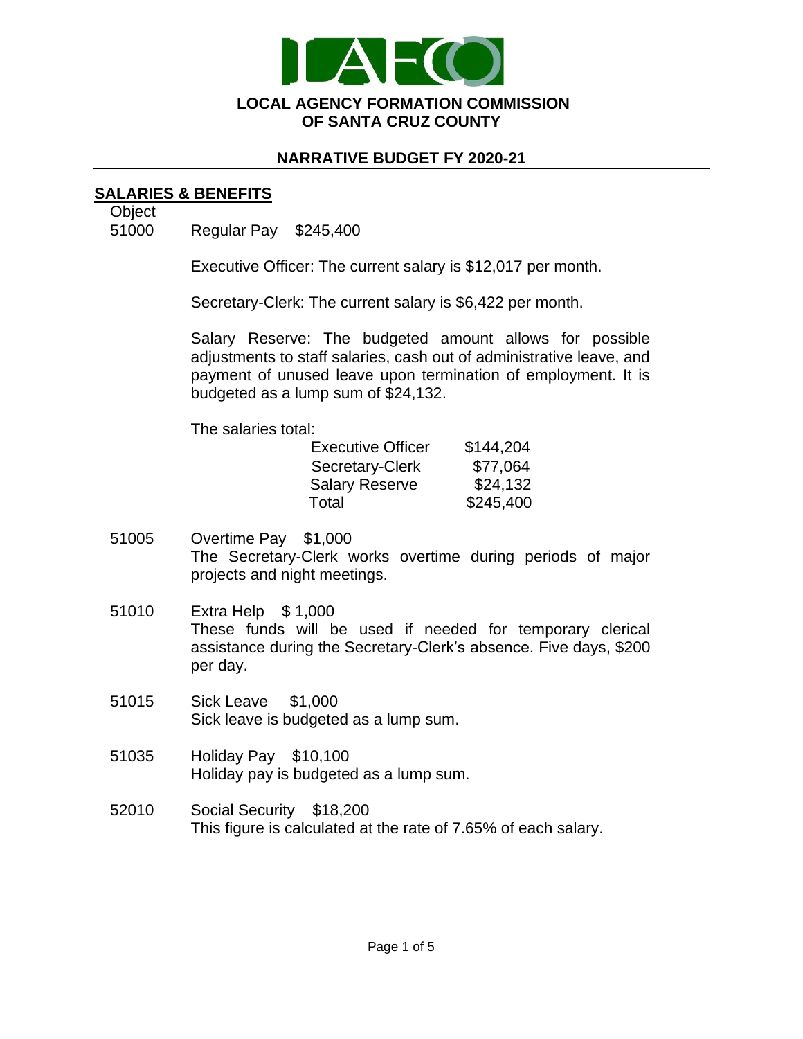

### **NARRATIVE BUDGET FY 2020-21**

## **SALARIES & BENEFITS**

**Object** 

51000 Regular Pay \$245,400

Executive Officer: The current salary is \$12,017 per month.

Secretary-Clerk: The current salary is \$6,422 per month.

Salary Reserve: The budgeted amount allows for possible adjustments to staff salaries, cash out of administrative leave, and payment of unused leave upon termination of employment. It is budgeted as a lump sum of \$24,132.

The salaries total:

| <b>Executive Officer</b> | \$144,204 |
|--------------------------|-----------|
| Secretary-Clerk          | \$77,064  |
| <b>Salary Reserve</b>    | \$24,132  |
| Total                    | \$245,400 |

- 51005 Overtime Pay \$1,000 The Secretary-Clerk works overtime during periods of major projects and night meetings.
- 51010 Extra Help \$ 1,000 These funds will be used if needed for temporary clerical assistance during the Secretary-Clerk's absence. Five days, \$200 per day.
- 51015 Sick Leave \$1,000 Sick leave is budgeted as a lump sum.
- 51035 Holiday Pay \$10,100 Holiday pay is budgeted as a lump sum.
- 52010 Social Security \$18,200 This figure is calculated at the rate of 7.65% of each salary.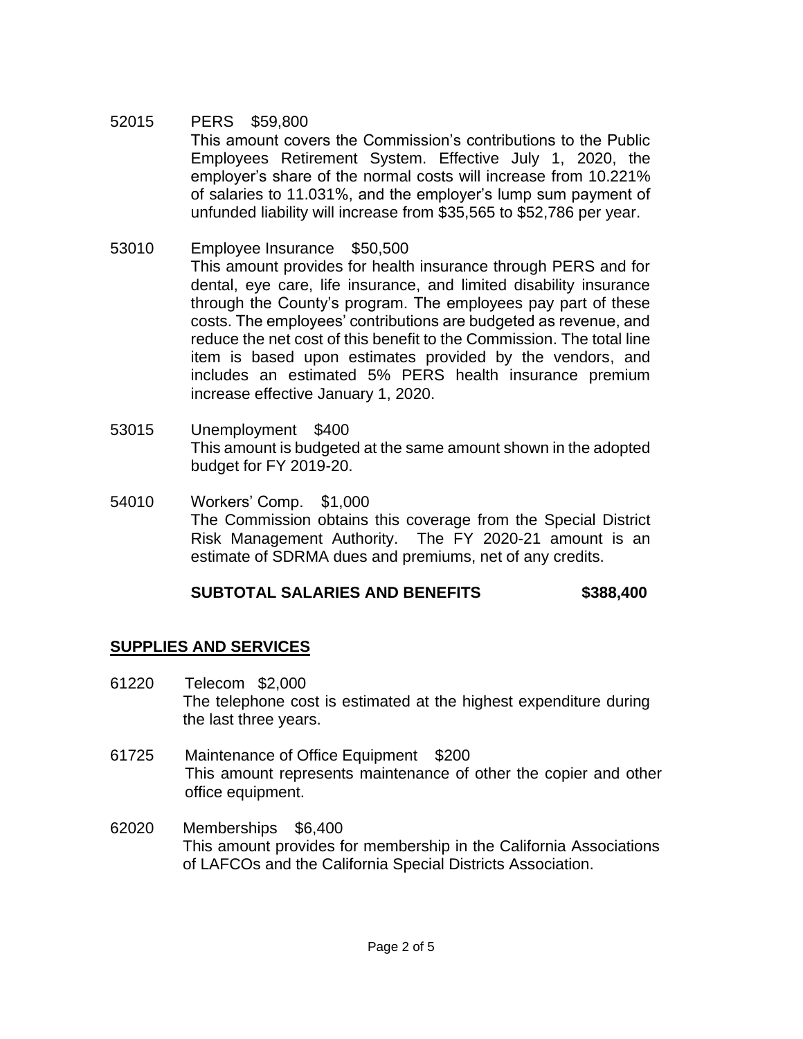#### 52015 PERS \$59,800 This amount covers the Commission's contributions to the Public Employees Retirement System. Effective July 1, 2020, the employer's share of the normal costs will increase from 10.221% of salaries to 11.031%, and the employer's lump sum payment of unfunded liability will increase from \$35,565 to \$52,786 per year.

- 53010 Employee Insurance \$50,500 This amount provides for health insurance through PERS and for dental, eye care, life insurance, and limited disability insurance through the County's program. The employees pay part of these costs. The employees' contributions are budgeted as revenue, and reduce the net cost of this benefit to the Commission. The total line item is based upon estimates provided by the vendors, and includes an estimated 5% PERS health insurance premium increase effective January 1, 2020.
- 53015 Unemployment \$400 This amount is budgeted at the same amount shown in the adopted budget for FY 2019-20.
- 54010 Workers' Comp. \$1,000 The Commission obtains this coverage from the Special District Risk Management Authority. The FY 2020-21 amount is an estimate of SDRMA dues and premiums, net of any credits.

# **SUBTOTAL SALARIES AND BENEFITS \$388,400**

## **SUPPLIES AND SERVICES**

- 61220 Telecom \$2,000 The telephone cost is estimated at the highest expenditure during the last three years.
- 61725 Maintenance of Office Equipment \$200 This amount represents maintenance of other the copier and other office equipment.
- 62020 Memberships \$6,400 This amount provides for membership in the California Associations of LAFCOs and the California Special Districts Association.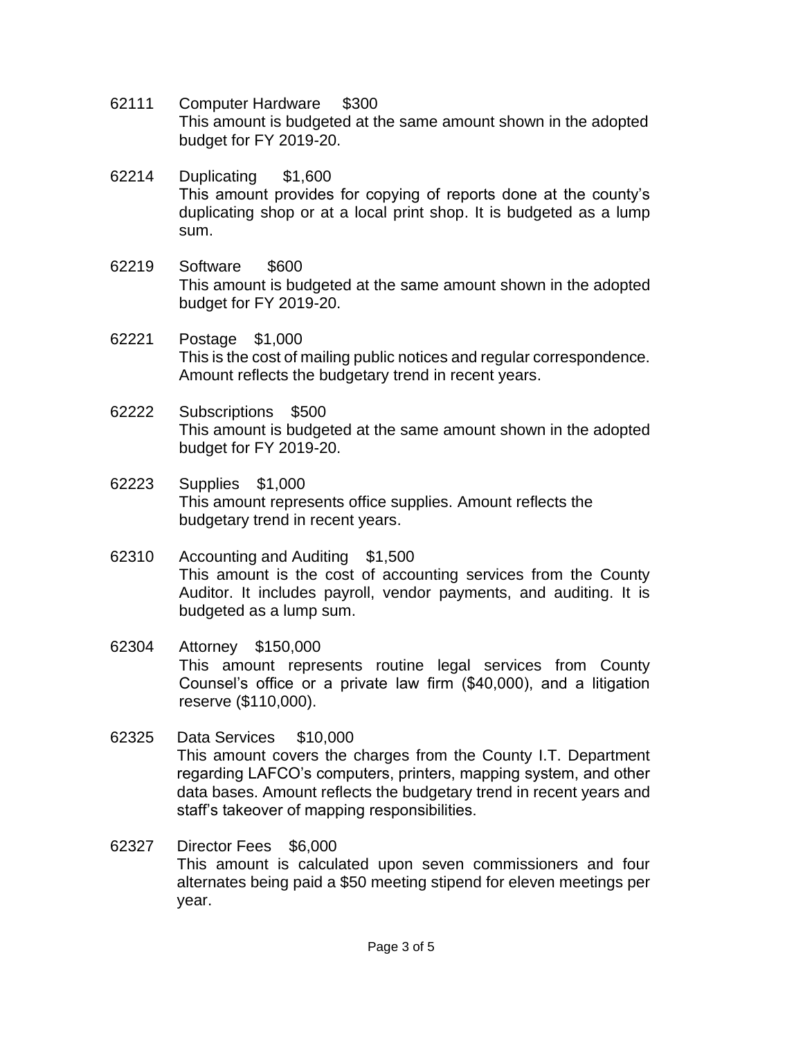- 62111 Computer Hardware \$300 This amount is budgeted at the same amount shown in the adopted budget for FY 2019-20.
- 62214 Duplicating \$1,600 This amount provides for copying of reports done at the county's duplicating shop or at a local print shop. It is budgeted as a lump sum.
- 62219 Software \$600 This amount is budgeted at the same amount shown in the adopted budget for FY 2019-20.
- 62221 Postage \$1,000 This is the cost of mailing public notices and regular correspondence. Amount reflects the budgetary trend in recent years.
- 62222 Subscriptions \$500 This amount is budgeted at the same amount shown in the adopted budget for FY 2019-20.
- 62223 Supplies \$1,000 This amount represents office supplies. Amount reflects the budgetary trend in recent years.
- 62310 Accounting and Auditing \$1,500 This amount is the cost of accounting services from the County Auditor. It includes payroll, vendor payments, and auditing. It is budgeted as a lump sum.
- 62304 Attorney \$150,000 This amount represents routine legal services from County Counsel's office or a private law firm (\$40,000), and a litigation reserve (\$110,000).
- 62325 Data Services \$10,000 This amount covers the charges from the County I.T. Department regarding LAFCO's computers, printers, mapping system, and other data bases. Amount reflects the budgetary trend in recent years and staff's takeover of mapping responsibilities.
- 62327 Director Fees \$6,000 This amount is calculated upon seven commissioners and four alternates being paid a \$50 meeting stipend for eleven meetings per year.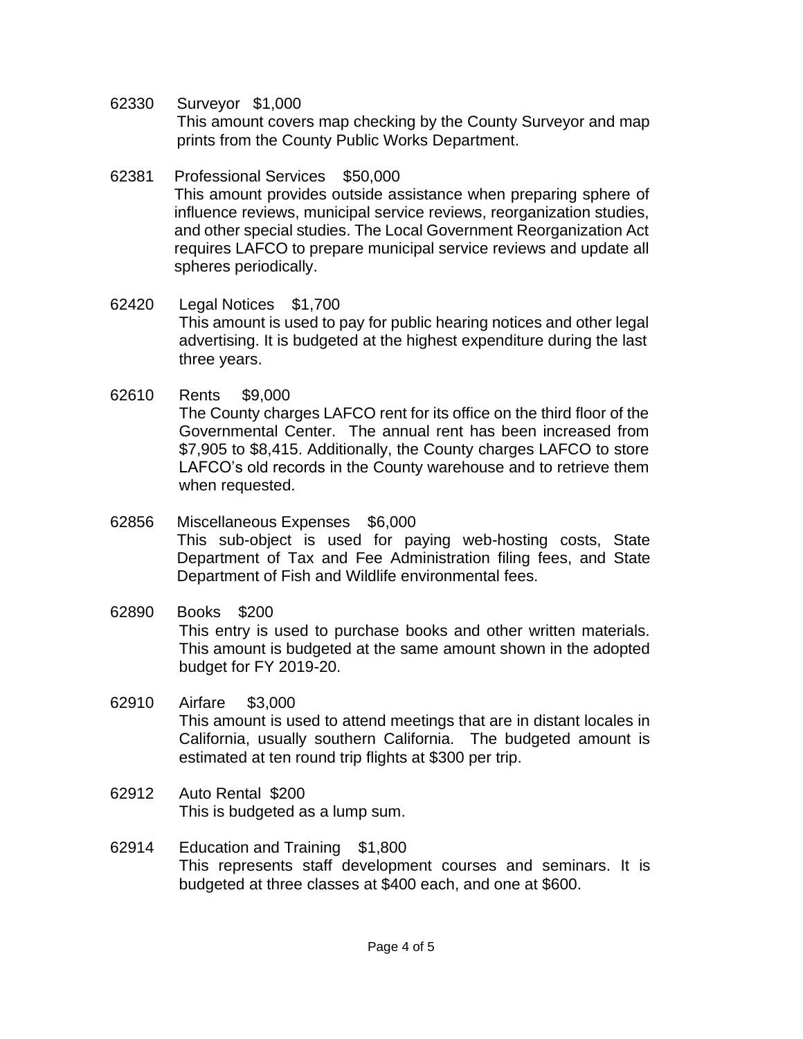62330 Surveyor \$1,000 This amount covers map checking by the County Surveyor and map prints from the County Public Works Department.

### 62381 Professional Services \$50,000 This amount provides outside assistance when preparing sphere of influence reviews, municipal service reviews, reorganization studies, and other special studies. The Local Government Reorganization Act requires LAFCO to prepare municipal service reviews and update all spheres periodically.

- 62420 Legal Notices \$1,700 This amount is used to pay for public hearing notices and other legal advertising. It is budgeted at the highest expenditure during the last three years.
- 62610 Rents \$9,000

The County charges LAFCO rent for its office on the third floor of the Governmental Center. The annual rent has been increased from \$7,905 to \$8,415. Additionally, the County charges LAFCO to store LAFCO's old records in the County warehouse and to retrieve them when requested.

- 62856 Miscellaneous Expenses \$6,000 This sub-object is used for paying web-hosting costs, State Department of Tax and Fee Administration filing fees, and State Department of Fish and Wildlife environmental fees.
- 62890 Books \$200 This entry is used to purchase books and other written materials. This amount is budgeted at the same amount shown in the adopted budget for FY 2019-20.
- 62910 Airfare \$3,000 This amount is used to attend meetings that are in distant locales in California, usually southern California. The budgeted amount is estimated at ten round trip flights at \$300 per trip.
- 62912 Auto Rental \$200 This is budgeted as a lump sum.
- 62914 Education and Training \$1,800 This represents staff development courses and seminars. It is budgeted at three classes at \$400 each, and one at \$600.